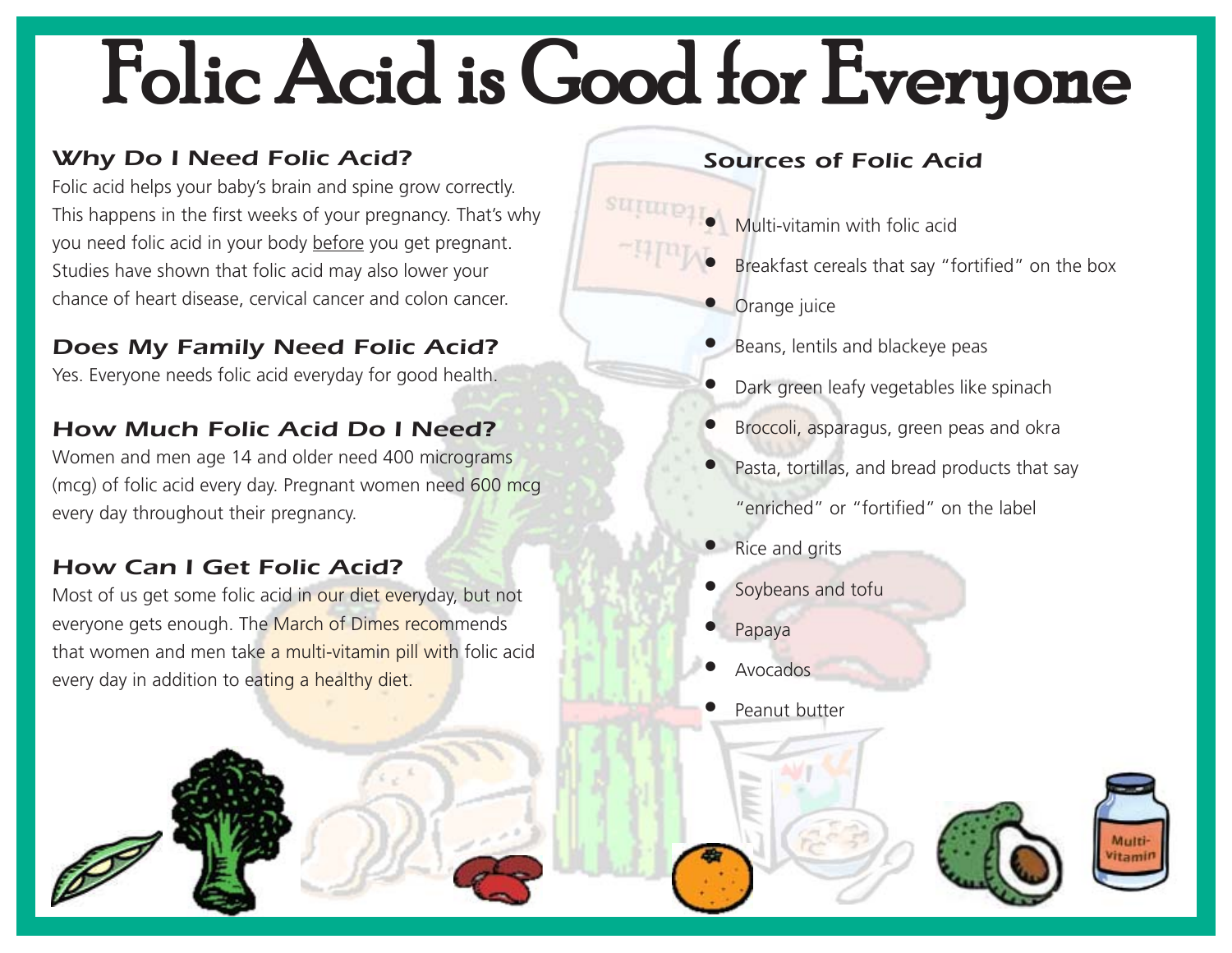## Folic Acid is Good for Everyone

### Why Do I Need Folic Acid?

Folic acid helps your baby's brain and spine grow correctly. This happens in the first weeks of your pregnancy. That's why you need folic acid in your body before you get pregnant. Studies have shown that folic acid may also lower your chance of heart disease, cervical cancer and colon cancer.

#### Does My Family Need Folic Acid?

Yes. Everyone needs folic acid everyday for good health.

#### How Much Folic Acid Do I Need?

Women and men age 14 and older need 400 micrograms (mcg) of folic acid every day. Pregnant women need 600 mcg every day throughout their pregnancy.

#### How Can I Get Folic Acid?

Most of us get some folic acid in our diet everyday, but not everyone gets enough. The March of Dimes recommends that women and men take a multi-vitamin pill with folic acid every day in addition to eating a healthy diet.

#### Sources of Folic Acid

- •**Multi-vitamin with folic acid**
- •Breakfast cereals that say "fortified" on the box
- **•** Orange juice
- Beans, lentils and blackeye peas
- •Dark green leafy vegetables like spinach
- •Broccoli, asparagus, green peas and okra
- • Pasta, tortillas, and bread products that say "enriched" or "fortified" on the label
- Rice and grits
- •Soybeans and tofu
- •Papaya
- •Avocados

•

Peanut butter